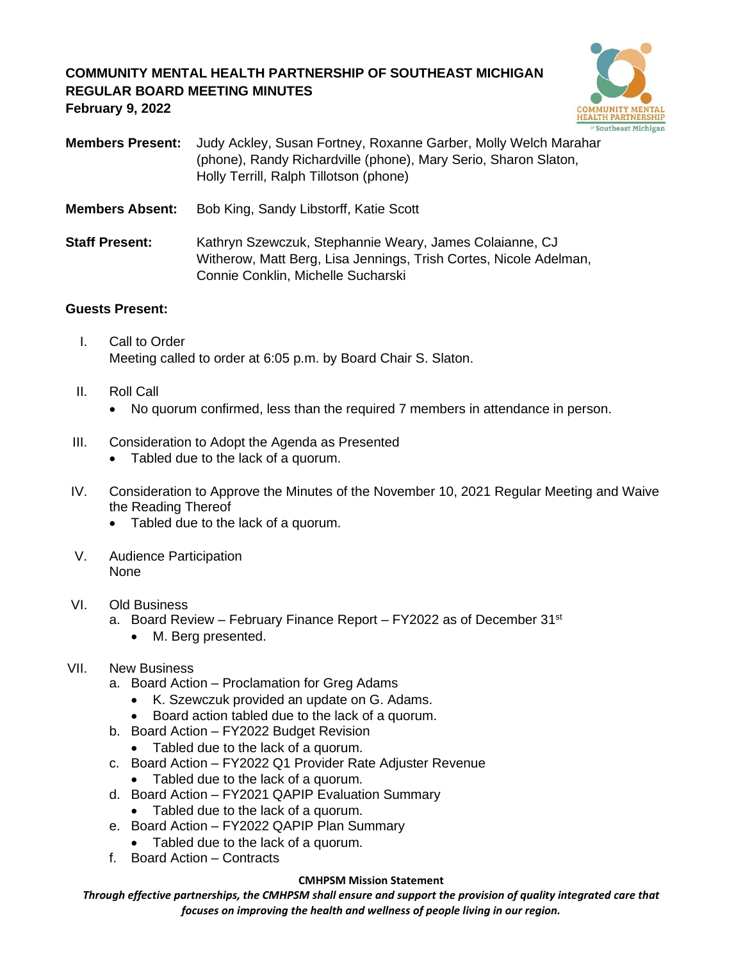# **COMMUNITY MENTAL HEALTH PARTNERSHIP OF SOUTHEAST MICHIGAN REGULAR BOARD MEETING MINUTES February 9, 2022**



**Members Present:** Judy Ackley, Susan Fortney, Roxanne Garber, Molly Welch Marahar (phone), Randy Richardville (phone), Mary Serio, Sharon Slaton, Holly Terrill, Ralph Tillotson (phone) **Members Absent:** Bob King, Sandy Libstorff, Katie Scott

**Staff Present:** Kathryn Szewczuk, Stephannie Weary, James Colaianne, CJ Witherow, Matt Berg, Lisa Jennings, Trish Cortes, Nicole Adelman, Connie Conklin, Michelle Sucharski

### **Guests Present:**

- I. Call to Order Meeting called to order at 6:05 p.m. by Board Chair S. Slaton.
- II. Roll Call
	- No quorum confirmed, less than the required 7 members in attendance in person.
- III. Consideration to Adopt the Agenda as Presented
	- Tabled due to the lack of a quorum.
- IV. Consideration to Approve the Minutes of the November 10, 2021 Regular Meeting and Waive the Reading Thereof
	- Tabled due to the lack of a quorum.
- V. Audience Participation None

### VI. Old Business

- a. Board Review February Finance Report FY2022 as of December 31<sup>st</sup>
	- M. Berg presented.

# VII. New Business

- a. Board Action Proclamation for Greg Adams
	- K. Szewczuk provided an update on G. Adams.
	- Board action tabled due to the lack of a quorum.
- b. Board Action FY2022 Budget Revision
	- Tabled due to the lack of a quorum.
- c. Board Action FY2022 Q1 Provider Rate Adjuster Revenue
	- Tabled due to the lack of a quorum.
- d. Board Action FY2021 QAPIP Evaluation Summary
	- Tabled due to the lack of a quorum.
- e. Board Action FY2022 QAPIP Plan Summary
	- Tabled due to the lack of a quorum.
- f. Board Action Contracts

#### **CMHPSM Mission Statement**

*Through effective partnerships, the CMHPSM shall ensure and support the provision of quality integrated care that focuses on improving the health and wellness of people living in our region.*